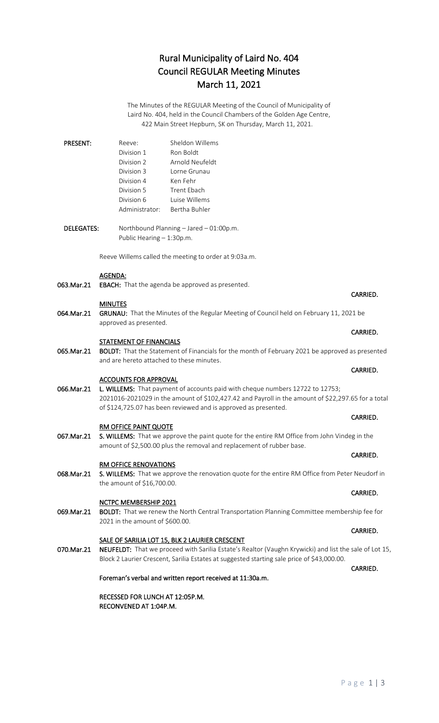# Rural Municipality of Laird No. 404 Council REGULAR Meeting Minutes March 11, 2021

The Minutes of the REGULAR Meeting of the Council of Municipality of Laird No. 404, held in the Council Chambers of the Golden Age Centre, 422 Main Street Hepburn, SK on Thursday, March 11, 2021.

| <b>PRESENT:</b> | Reeve:         | Sheldon Willems |
|-----------------|----------------|-----------------|
|                 | Division 1     | Ron Boldt       |
|                 | Division 2     | Arnold Neufeldt |
|                 | Division 3     | Lorne Grunau    |
|                 | Division 4     | Ken Fehr        |
|                 | Division 5     | Trent Fhach     |
|                 | Division 6     | Luise Willems   |
|                 | Administrator: | Bertha Buhler   |

DELEGATES: Northbound Planning – Jared – 01:00p.m. Public Hearing – 1:30p.m.

Reeve Willems called the meeting to order at 9:03a.m.

### AGENDA:

063.Mar.21 EBACH: That the agenda be approved as presented.

### MINUTES

064.Mar.21 GRUNAU: That the Minutes of the Regular Meeting of Council held on February 11, 2021 be approved as presented.

### STATEMENT OF FINANCIALS

065.Mar.21 BOLDT: That the Statement of Financials for the month of February 2021 be approved as presented and are hereto attached to these minutes.

### ACCOUNTS FOR APPROVAL

066.Mar.21 L. WILLEMS: That payment of accounts paid with cheque numbers 12722 to 12753; 2021016-2021029 in the amount of \$102,427.42 and Payroll in the amount of \$22,297.65 for a total of \$124,725.07 has been reviewed and is approved as presented.

### RM OFFICE PAINT QUOTE

067.Mar.21 S. WILLEMS: That we approve the paint quote for the entire RM Office from John Vindeg in the amount of \$2,500.00 plus the removal and replacement of rubber base.

### RM OFFICE RENOVATIONS

068.Mar.21 S. WILLEMS: That we approve the renovation quote for the entire RM Office from Peter Neudorf in the amount of \$16,700.00.

### NCTPC MEMBERSHIP 2021

069.Mar.21 BOLDT: That we renew the North Central Transportation Planning Committee membership fee for 2021 in the amount of \$600.00.

### SALE OF SARILIA LOT 15, BLK 2 LAURIER CRESCENT

070.Mar.21 NEUFELDT: That we proceed with Sarilia Estate's Realtor (Vaughn Krywicki) and list the sale of Lot 15, Block 2 Laurier Crescent, Sarilia Estates at suggested starting sale price of \$43,000.00.

Foreman's verbal and written report received at 11:30a.m.

RECESSED FOR LUNCH AT 12:05P.M. RECONVENED AT 1:04P.M.

# CARRIED.

### **CARRIED. CARRIED.**

## **CARRIED. CARRIED.**

## CARRIED.

## **CARRIED.** The contract of the contract of the contract of the contract of the contract of the contract of the contract of the contract of the contract of the contract of the contract of the contract of the contract of the

# **CARRIED.** The contract of the contract of the contract of the contract of the contract of the contract of the contract of the contract of the contract of the contract of the contract of the contract of the contract of the

# **CARRIED.** The contract of the contract of the contract of the contract of the contract of the contract of the contract of the contract of the contract of the contract of the contract of the contract of the contract of the

# **CARRIED. CARRIED.**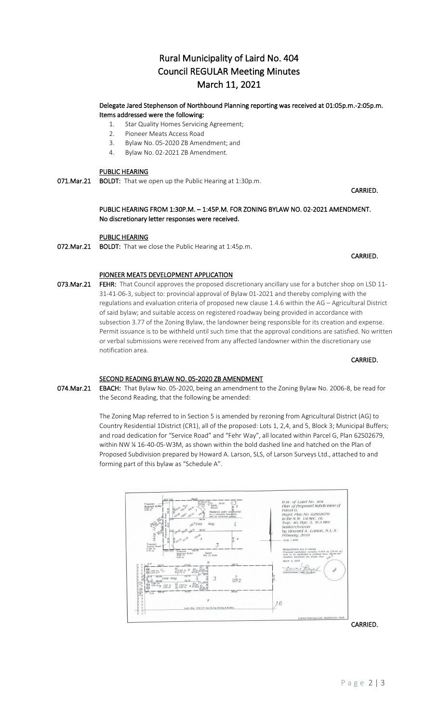# Rural Municipality of Laird No. 404 Council REGULAR Meeting Minutes March 11, 2021

### Delegate Jared Stephenson of Northbound Planning reporting was received at 01:05p.m.-2:05p.m. Items addressed were the following:

- 1. Star Quality Homes Servicing Agreement;
- 2. Pioneer Meats Access Road
- 3. Bylaw No. 05-2020 ZB Amendment; and
- 4. Bylaw No. 02-2021 ZB Amendment.

## PUBLIC HEARING

071.Mar.21 BOLDT: That we open up the Public Hearing at 1:30p.m.

 PUBLIC HEARING FROM 1:30P.M. – 1:45P.M. FOR ZONING BYLAW NO. 02-2021 AMENDMENT. No discretionary letter responses were received.

**CARRIED. CARRIED.** 

**CARRIED. CARRIED.** 

### PUBLIC HEARING

072. Mar. 21 BOLDT: That we close the Public Hearing at 1:45p.m.

PIONEER MEATS DEVELOPMENT APPLICATION

073.Mar.21 FEHR: That Council approves the proposed discretionary ancillary use for a butcher shop on LSD 11-31-41-06-3, subject to: provincial approval of Bylaw 01-2021 and thereby complying with the regulations and evaluation criteria of proposed new clause 1.4.6 within the AG – Agricultural District of said bylaw; and suitable access on registered roadway being provided in accordance with subsection 3.77 of the Zoning Bylaw, the landowner being responsible for its creation and expense. Permit issuance is to be withheld until such time that the approval conditions are satisfied. No written or verbal submissions were received from any affected landowner within the discretionary use notification area.

**CARRIED. CARRIED.** 

### SECOND READING BYLAW NO. 05-2020 ZB AMENDMENT

074. Mar. 21 EBACH: That Bylaw No. 05-2020, being an amendment to the Zoning Bylaw No. 2006-8, be read for the Second Reading, that the following be amended:

> The Zoning Map referred to in Section 5 is amended by rezoning from Agricultural District (AG) to Country Residential 1District (CR1), all of the proposed: Lots 1, 2,4, and 5, Block 3; Municipal Buffers; and road dedication for "Service Road" and "Fehr Way", all located within Parcel G, Plan 62S02679, within NW ¼ 16-40-05-W3M, as shown within the bold dashed line and hatched on the Plan of Proposed Subdivision prepared by Howard A. Larson, SLS, of Larson Surveys Ltd., attached to and forming part of this bylaw as "Schedule A".



CARRIED.